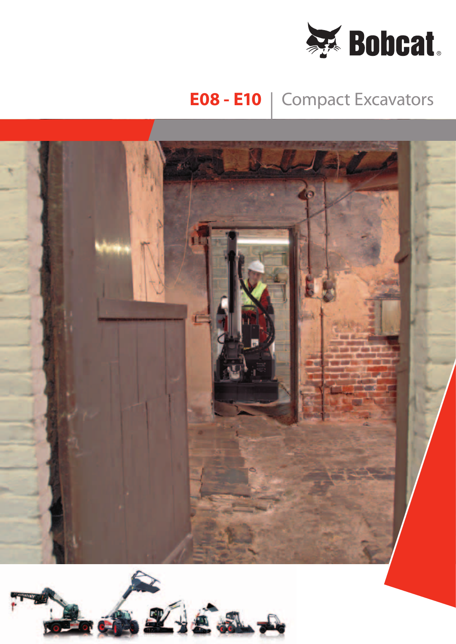

## **E08 - E10** | Compact Excavators



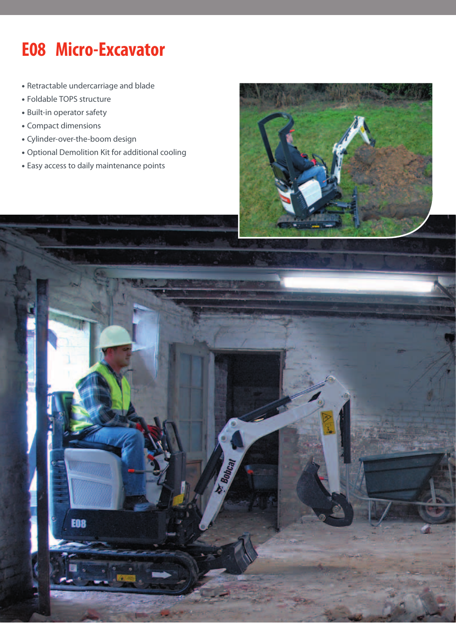# **E08 Micro-Excavator**

- • Retractable undercarriage and blade
- Foldable TOPS structure
- Built-in operator safety
- • Compact dimensions
- • Cylinder-over-the-boom design
- • Optional Demolition Kit for additional cooling
- • Easy access to daily maintenance points



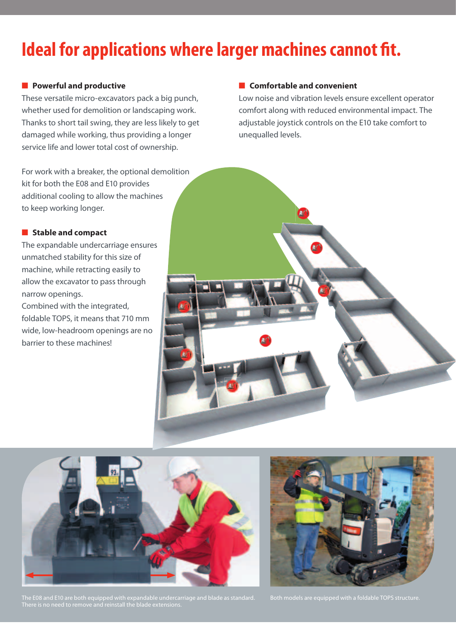## **Ideal for applications where larger machines cannot fit.**

### ■ **Powerful and productive**

These versatile micro-excavators pack a big punch, whether used for demolition or landscaping work. Thanks to short tail swing, they are less likely to get damaged while working, thus providing a longer service life and lower total cost of ownership.

For work with a breaker, the optional demolition kit for both the E08 and E10 provides additional cooling to allow the machines to keep working longer.

### ■ **Stable and compact**

The expandable undercarriage ensures unmatched stability for this size of machine, while retracting easily to allow the excavator to pass through narrow openings.

Combined with the integrated, foldable TOPS, it means that 710 mm wide, low-headroom openings are no barrier to these machines!

### ■ **Comfortable and convenient**

Low noise and vibration levels ensure excellent operator comfort along with reduced environmental impact. The adjustable joystick controls on the E10 take comfort to unequalled levels.





The E08 and E10 are both equipped with expandable undercarriage and blade as standard. There is no need to remove and reinstall the blade extensions.

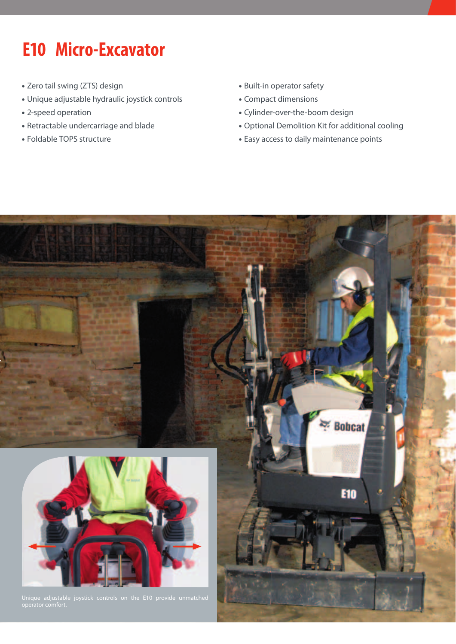# **E10 Micro-Excavator**

- Zero tail swing (ZTS) design
- Unique adjustable hydraulic joystick controls
- 2-speed operation
- Retractable undercarriage and blade
- Foldable TOPS structure
- Built-in operator safety
- Compact dimensions
- Cylinder-over-the-boom design
- Optional Demolition Kit for additional cooling
- Easy access to daily maintenance points

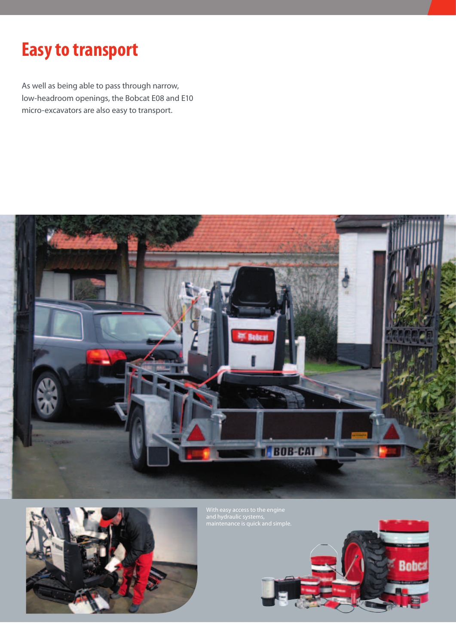### **Easy to transport**

As well as being able to pass through narrow, low-headroom openings, the Bobcat E08 and E10 micro-excavators are also easy to transport.